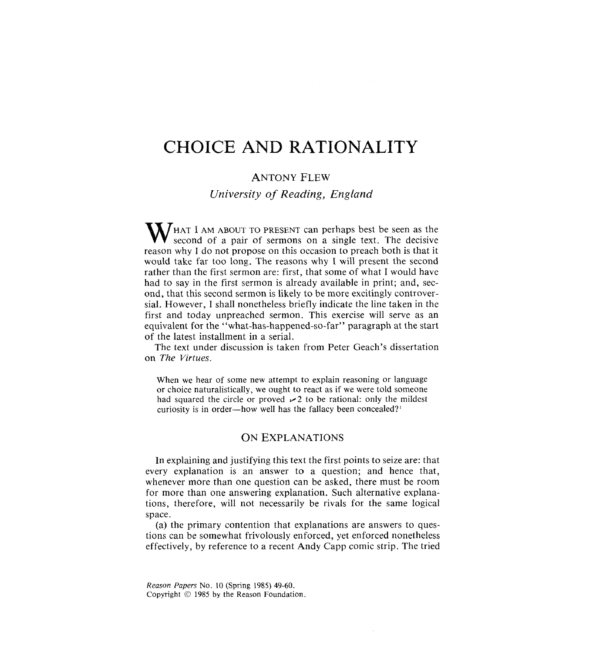# CHOICE AND RATIONALITY

## ANTONY FLEW

*University* of *Reading, England* 

 $H_{\text{HAT}}$  I AM ABOUT TO PRESENT can perhaps best be seen as the second of a pair of sermons on a single text. The decisive reason why I do not propose on this occasion to preach both is that it would take far too long. The reasons why I will present the second rather than the first sermon are: first, that some of what I would have had to say in the first sermon is already available in print; and, second, that this second sermon is likely to be more excitingly controversial. However, I shall nonetheless briefly indicate the line taken in the first and today unpreached sermon. This exercise will serve as an equivalent for the "what-has-happened-so-far" paragraph at the start of the latest installment in a serial.

The text under discussion is taken from Peter Geach's dissertation on *The* Virrues.

When we hear of some new attempt to explain reasoning or language or choice naturalistically, we ought to react as if we were told someone had squared the circle or proved  $\angle$  2 to be rational: only the mildest curiosity is in order-how well has the fallacy been concealed?'

### **ON EXPLANATIONS**

In explaining and justifying this text the first points to seize are: that every explanation is an answer to a question; and hence that, whenever more than one question can be asked, there must be room for more than one answering explanation. Such alternative explanations, therefore, will not necessarily be rivals for the same logical space.

(a) the primary contention that explanations are answers to questions can be somewhat frivolously enforced, yet enforced nonetheless effectively, by reference to a recent Andy Capp comic strip. The tried

*Reason Papers* No. *10* (Spring 1985) 49-60. Copyright *O* 1985 by the Reason Foundation.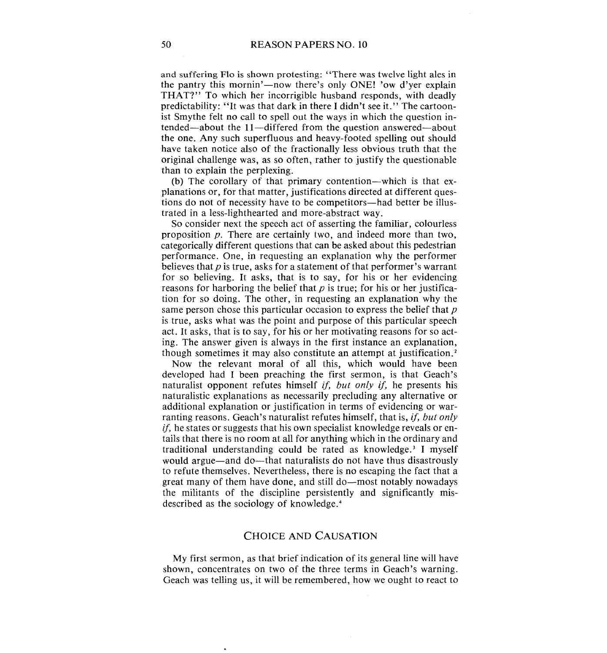and suffering Flo is shown protesting: "There was twelve light ales in the pantry this mornin'—now there's only ONE! 'ow d'ver explain THAT?" To which her incorrigible husband responds, with deadly predictability: "It was that dark in there I didn't see it." The cartoonist Smythe felt no call to spell out the ways in which the question intended-about the 11-differed from the question answered-about the one. Any such superfluous and heavy-footed spelling out should have taken notice also of the fractionally less obvious truth that the original challenge was, as so often, rather to justify the questionable than to explain the perplexing.

(b) The corollary of that primary contention-which is that explanations or, for that matter, justifications directed at different questions do not of necessity have to be competitors-had better be illustrated in a less-lighthearted and more-abstract way.

So consider next the speech act of asserting the familiar, colourless proposition p. There are certainly two, and indeed more than two, categorically different questions that can be asked about this pedestrian performance. One, in requesting an explanation why the performer believes that  $p$  is true, asks for a statement of that performer's warrant for so believing. It asks, that is to say, for his or her evidencing reasons for harboring the belief that *p* is true; for his or her justification for so doing. The other, in requesting an explanation why the same person chose this particular occasion to express the belief that  $p$ is true, asks what was the point and purpose of this particular speech act. It asks, that is to say, for his or her motivating reasons for so acting. The answer given is always in the first instance an explanation, though sometimes it may also constitute an attempt at justification.'

Now the relevant moral of all this, which would have been developed had I been preaching the first sermon, is that Geach's naturalist opponent refutes himself *if, but only if,* he presents his naturalistic explanations as necessarily precluding any alternative or additional explanation or justification in terms of evidencing or warranting reasons. Geach's naturalist refutes himself, that is, *if, but only if*, he states or suggests that his own specialist knowledge reveals or entails that there is no room at all for anything which in the ordinary and traditional understanding could be rated as knowledge.<sup>3</sup> I myself would argue—and do—that naturalists do not have thus disastrously to refute themselves. Nevertheless, there is no escaping the fact that a great many of them have done, and still do—most notably nowadays the militants of the discipline persistently and significantly misdescribed as the sociology of knowledge.<sup>4</sup>

### CHOICE AND CAUSATION

My first sermon, as that brief indication of its general line will have shown, concentrates on two of the three terms in Geach's warning. Geach was telling us, it will be remembered, how we ought to react to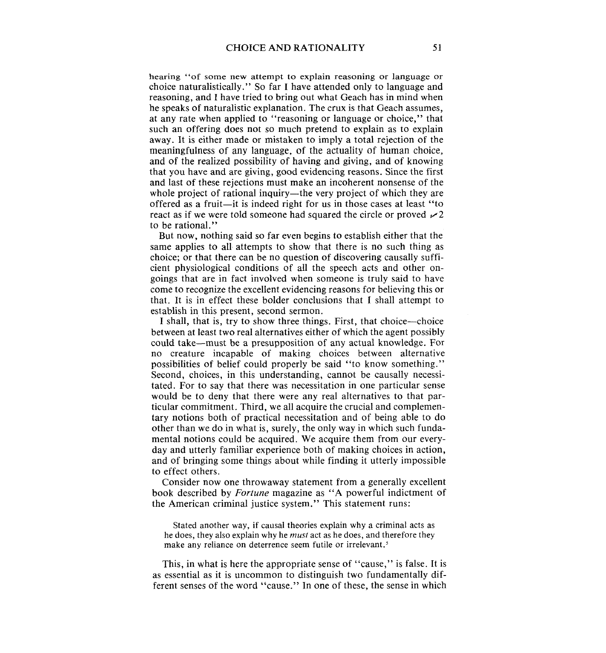hearing "of some new attempt to explain reasoning or language or choice naturalistically." So far I have attended only to language and reasoning, and I have tried to bring out what Geach has in mind when he speaks of naturalistic explanation. The crux is that Geach assumes, at any rate when applied to "reasoning or language or choice," that such an offering does not so much pretend to explain as to explain away. It is either made or mistaken to imply a total rejection of the meaningfulness of any language, of the actuality of human choice, and of the realized possibility of having and giving, and of knowing that you have and are giving, good evidencing reasons. Since the first and last of these rejections must make an incoherent nonsense of the whole project of rational inquiry—the very project of which they are offered as a fruit-it is indeed right for us in those cases at least "to" react as if we were told someone had squared the circle or proved  $\sqrt{2}$ to be rational."

But now, nothing said so far even begins to establish either that the same applies to all attempts to show that there is no such thing as choice; or that there can be no question of discovering causally sufficient physiological conditions of all the speech acts and other ongoings that are in fact involved when someone is truly said to have come to recognize the excellent evidencing reasons for believing this or that. It is in effect these bolder conclusions that I shall attempt to establish in this present, second sermon.

I shall, that is, try to show three things. First, that choice—choice between at least two real alternatives either of which the agent possibly could take-must be a presupposition of any actual knowledge. For no creature incapable of making choices between alternative possibilities of belief could properly be said "to know something." Second, choices, in this understanding, cannot be causally necessitated. For to say that there was necessitation in one particular sense would be to deny that there were any real alternatives to that particular commitment. Third, we all acquire the crucial and complementary notions both of practical necessitation and of being able to do other than we do in what is, surely, the only way in which such fundamental notions could be acquired. We acquire them from our everyday and utterly familiar experience both of making choices in action, and of bringing some things about while finding it utterly impossible to effect others.

Consider now one throwaway statement from a generally excellent book described by *Fortune* magazine as "A powerful indictment of the American criminal justice system." This statement runs:

Stated another way, if causal theories explain why a criminal acts as he does, they also explain why he *must* act as he does, and therefore they make any reliance on deterrence seem futile or irrelevant.<sup>5</sup>

This, in what is here the appropriate sense of "cause," is false. It is as essential as it is uncommon to distinguish two fundamentally different senses of the word "cause." In one of these, the sense in which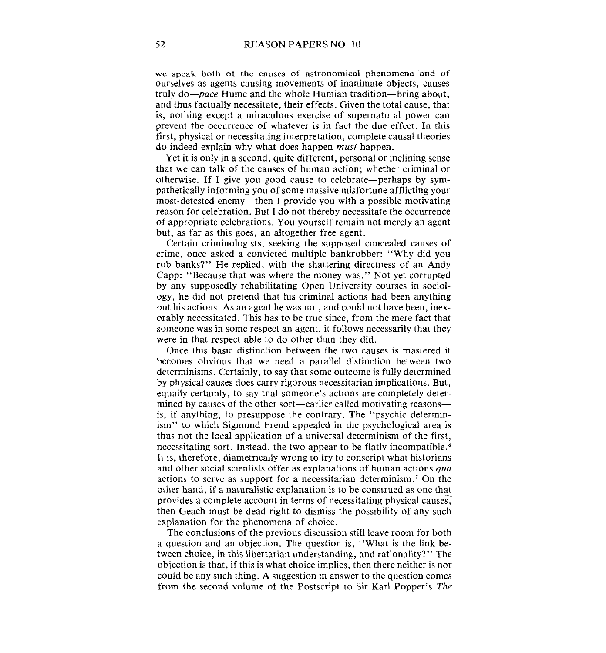**we speak both of the causes of astronomical phenomena and of**  ourselves as agents causing movements of inanimate objects, causes truly do—*pace* Hume and the whole Humian tradition—bring about, and thus factually necessitate, their effects. Given the total cause, that is, nothing except a miraculous exercise of supernatural power can prevent the occurrence of whatever is in fact the due effect. In this first, physical or necessitating interpretation, complete causal theories do indeed explain why what does happen *must* happen.

Yet it is only in a second, quite different, personal or inclining sense that we can talk of the causes of human action; whether criminal or otherwise. If I give you good cause to celebrate-perhaps by sympathetically informing you of some massive misfortune afflicting your most-detested enemy—then I provide you with a possible motivating reason for celebration. But I do not thereby necessitate the occurrence of appropriate celebrations. You yourself remain not merely an agent but, as far as this goes, an altogether free agent.

Certain criminologists, seeking the supposed concealed causes of crime, once asked a convicted multiple bankrobber: "Why did you rob banks?" He replied, with the shattering directness of an Andy Capp: "Because that was where the money was." Not yet corrupted by any supposedly rehabilitating Open University courses in sociology, he did not pretend that his criminal actions had been anything but his actions. As an agent he was not, and could not have been, inexorably necessitated. This has to be true since, from the mere fact that someone was in some respect an agent, it follows necessarily that they were in that respect able to do other than they did.

Once this basic distinction between the two causes is mastered it becomes obvious that we need a parallel distinction between two determinisms. Certainly, to say that some outcome is fully determined by physical causes does carry rigorous necessitarian implications. But, equally certainly, to say that someone's actions are completely determined by causes of the other sort—earlier called motivating reasons is, if anything, to presuppose the contrary. The "psychic determinism" to which Sigmund Freud appealed in the psychological area is thus not the local application of a universal determinism of the first, necessitating sort. Instead, the two appear to be flatly incompatible.<sup>6</sup> It is, therefore, diametrically wrong to try to conscript what historians and other social scientists offer as explanations of human actions qua actions to serve as support for a necessitarian determinism.' On the other hand, if a naturalistic explanation is to be construed as one that provides a complete account in terms of necessitating physical causes, then Geach must be dead right to dismiss the possibility of any such explanation for the phenomena of choice.

The conclusions of the previous discussion still leave room for both a question and an objection. The question is, "What is the link between choice, in this libertarian understanding, and rationality?" The objection is that, if this is what choice implies, then there neither is nor could be any such thing. A suggestion in answer to the question comes from the second volume of the Postscript to Sir Karl Popper's The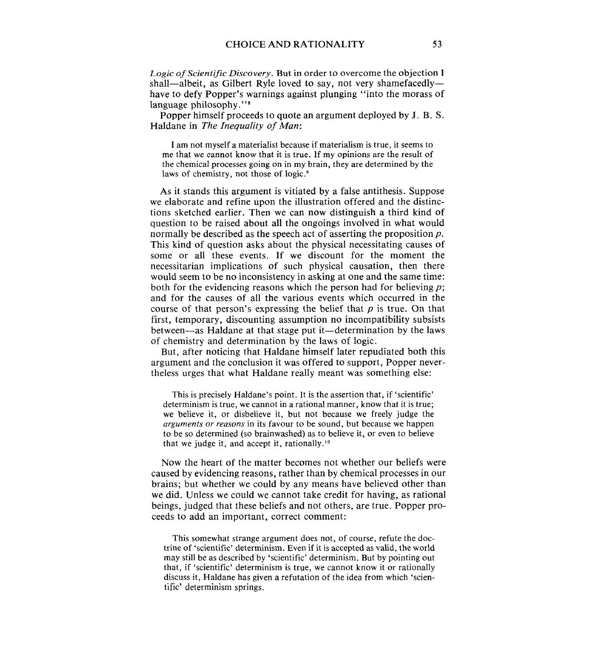*Logic of Scientific Discovery.* But in order to overcome the objection I  $shall–albeit, as Gilbert Ryle loved to say, not very shamefacedly$ have to defy Popper's warnings against plunging "into the morass of language philosophy."<sup>8</sup>

Popper himself proceeds to quote an argument deployed by J. B. S. Haldane in *The Inequality of Man:* 

I am not myself a materialist because if materialism is true, it seems to me that we cannot know that it is true. If my opinions are the result of the chemical processes going on in my brain, they are determined by the laws of chemistry, not those of logic.<sup>9</sup>

As it stands this argument is vitiated by a false antithesis. Suppose we elaborate and refine upon the illustration offered and the distinctions sketched earlier. Then we can now distinguish a third kind of question to be raised about all the ongoings involved in what would normally be described as the speech act of asserting the proposition  $p$ . This kind of question asks about the physical necessitating causes of some or all these events. If we discount for the moment the necessitarian implications of such physical causation, then there would seem to be no inconsistency in asking at one and the same time: both for the evidencing reasons which the person had for believing  $p$ ; and for the causes of all the various events which occurred in the course of that person's expressing the belief that  $p$  is true. On that first, temporary, discounting assumption no incompatibility subsists between—as Haldane at that stage put it—determination by the laws of chemistry and determination by the laws of logic.

But, after noticing that Haldane himself later repudiated both this argument and the conclusion it was offered to support, Popper nevertheless urges that what Haldane really meant was something else:

This is precisely Haldane's point. It is the assertion that, if 'scientific' determinism is true, we cannot in a rational manner, know that it is true; we believe it, or disbelieve it, but not because we freely judge the *arguments or reasons* in its favour to be sound, but because we happen to be so determined (so brainwashed) as to believe it, or even to believe that we judge it, and accept it, rationally.1°

Now the heart of the matter becomes not whether our beliefs were caused by evidencing reasons, rather than by chemical processes in our brains; but whether we could by any means have believed other than we did. Unless we could we cannot take credit for having, as rational beings, judged that these beliefs and not others, are true. Popper proceeds to add an important, correct comment:

This somewhat strange argument does not, of course, refute the doctrine of 'scientific' determinism. Even if it is accepted as valid, the world may still be as described by 'scientific' determinism. But by pointing out that, if 'scientific' determinism is true, we cannot know it or rationally discuss it, Haldane has given a refutation of the idea from which 'scientific' determinism springs.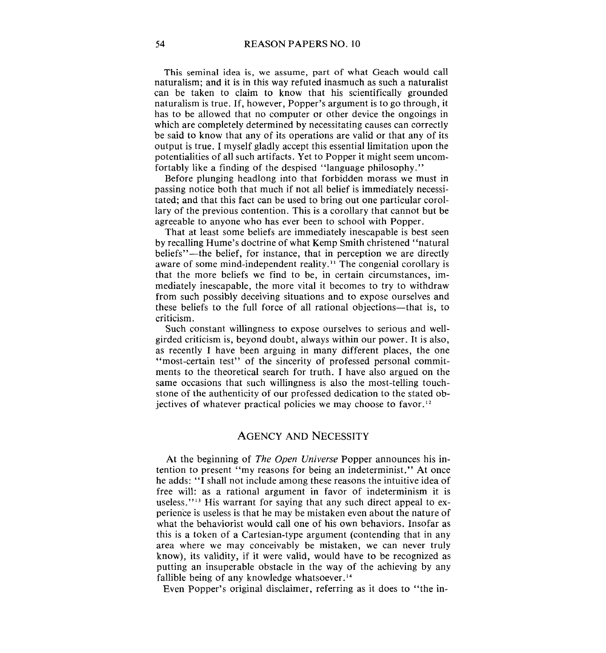This seminal idea is, we assume, part of what Geach would call naturalism; and it is in this way refuted inasmuch as such a naturalist can be taken to claim to know that his scientifically grounded naturalism is true. If, however, Popper's argument is to go through, it has to be allowed that no computer or other device the ongoings in which are completely determined by necessitating causes can correctly be said to know that any of its operations are valid or that any of its output is true. I myself gladly accept this essential limitation upon the potentialities of all such artifacts. Yet to Popper it might seem uncomfortably like a finding of the despised "language philosophy."

Before plunging headlong into that forbidden morass we must in passing notice both that much if not all belief is immediately necessitated; and that this fact can be used to bring out one particular corollary of the previous contention. This is a corollary that cannot but be agreeable to anyone who has ever been to school with Popper.

That at least some beliefs are immediately inescapable is best seen by recalling Hume's doctrine of what Kemp Smith christened "natural beliefs"—the belief, for instance, that in perception we are directly aware of some mind-independent reality.<sup>11</sup> The congenial corollary is that the more beliefs we find to be, in certain circumstances, immediately inescapable, the more vital it becomes to try to withdraw from such possibly deceiving situations and to expose ourselves and these beliefs to the full force of all rational objections—that is, to criticism.

Such constant willingness to expose ourselves to serious and wellgirded criticism is, beyond doubt, always within our power. It is also, as recently I have been arguing in many different places, the one "most-certain test" of the sincerity of professed personal commitments to the theoretical search for truth. I have also argued on the same occasions that such willingness is also the most-telling touchstone of the authenticity of our professed dedication to the stated objectives of whatever practical policies we may choose to favor.<sup>12</sup>

#### AGENCY AND NECESSITY

At the beginning of *The Open Universe* Popper announces his intention to present "my reasons for being an indeterminist." At once he adds: "I shall not include among these reasons the intuitive idea of free will: as a rational argument in favor of indeterminism it is useless."<sup>13</sup> His warrant for saying that any such direct appeal to experience is useless is that he may be mistaken even about the nature of what the behaviorist would call one of his own behaviors. Insofar as this is a token of a Cartesian-type argument (contending that in any area where we may conceivably be mistaken, we can never truly know), its validity, if it were valid, would have to be recognized as putting an insuperable obstacle in the way of the achieving by any fallible being of any knowledge whatsoever.<sup>14</sup>

Even Popper's original disclaimer, referring as it does to "the in-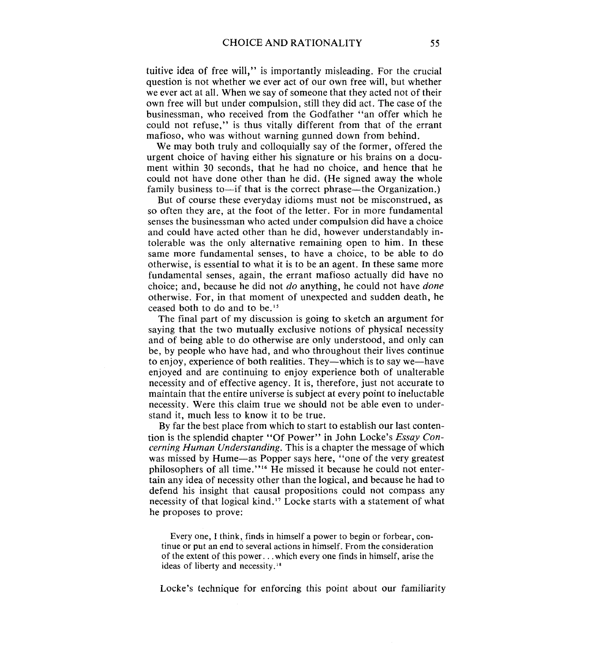tuitive idea of free will," is importantly misleading. For the crucial question is not whether we ever act of our own free will, but whether we ever act at all. When we say of someone that they acted not of their own free will but under compulsion, still they did act. The case of the businessman, who received from the Godfather "an offer which he could not refuse," is thus vitally different from that of the errant mafioso, who was without warning gunned down from behind.

We may both truly and colloquially say of the former, offered the urgent choice of having either his signature or his brains on a document within 30 seconds, that he had no choice, and hence that he could not have done other than he did. (He signed away the whole family business to—if that is the correct phrase—the Organization.)

But of course these everyday idioms must not be misconstrued, as so often they are, at the foot of the letter. For in more fundamental senses the businessman who acted under compulsion did have a choice and could have acted other than he did, however understandably intolerable was the only alternative remaining open to him. In these same more fundamental senses, to have a choice, to be able to do otherwise, is essential to what it is to be an agent. In these same more fundamental senses, again, the errant mafioso actually did have no choice; and, because he did not *do* anything, he could not have *done*  otherwise. For, in that moment of unexpected and sudden death, he ceased both to do and to be.15

The final part of my discussion is going to sketch an argument for saying that the two mutually exclusive notions of physical necessity and of being able to do otherwise are only understood, and only can be, by people who have had, and who throughout their lives continue to enjoy, experience of both realities. They—which is to say we—have enjoyed and are continuing to enjoy experience both of unalterable necessity and of effective agency. It is, therefore, just not accurate to maintain that the entire universe is subject at every point to ineluctable necessity. Were this claim true we should not be able even to understand it, much less to know it to be true.

By far the best place from which to start to establish our last contention is the splendid chapter "Of Power" in John Locke's *Essay Concerning Human Understanding.* This is a chapter the message of which was missed by Hume—as Popper says here, "one of the very greatest philosophers of all time."16 He missed it because he could not entertain any idea of necessity other than the logical, and because he had to defend his insight that causal propositions could not compass any necessity of that logical kind.'' Locke starts with a statement of what he proposes to prove:

Every one, I think, finds in himself a power to begin or forbear, continue or put an end to several actions in himself. From the consideration of the extent of this power. . .which every one finds in himself, arise the ideas of liberty and necessity.<sup>18</sup>

Locke's technique for enforcing this point about our familiarity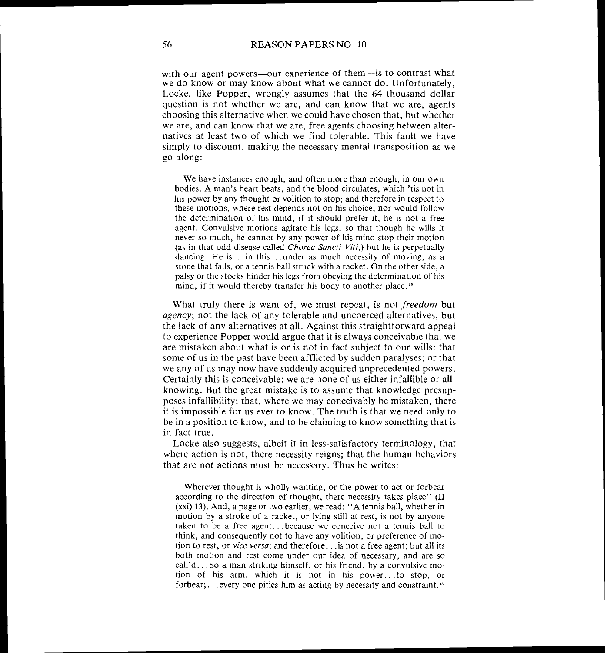with our agent powers-our experience of them-is to contrast what we do know or may know about what we cannot do. Unfortunately, Locke, like Popper, wrongly assumes that the 64 thousand dollar question is not whether we are, and can know that we are, agents choosing this alternative when we could have chosen that, but whether we are, and can know that we are, free agents choosing between alternatives at least two of which we find tolerable. This fault we have simply to discount, making the necessary mental transposition as we go along:

We have instances enough, and often more than enough, in our own bodies. A man's heart beats, and the blood circuiates, which 'tis not in his power by any thought or volition to stop; and therefore in respect to these motions, where rest depends not on his choice, nor would follow the determination of his mind, if it should prefer ir, he is not a free agent. Convulsive motions agitate his legs, so that though he wills it never so much, he cannot by any power of his mind stop their motion (as in that odd disease called *Chorea Sancti Viti*,) but he is perpetually dancing. He is. . .in this. . .under as much necessity of moving, as a stone that falls, or a tennis ball struck with a racket. On the other side, a palsy or the stocks hinder his legs frorn obeying the determination of his mind, if it would thereby transfer his body to another place.<sup>19</sup>

What truly there is want of, we must repeat, is not *freedom* but agency; not the lack of any tolerable and uncoerced alternatives, but the lack of any alternatives at all. Against this straightforward appeal to experience Popper would argue that it is always conceivable that we are mistaken about what is or is not in fact subject to our wills: that some of us in the past have been afflicted by sudden paralyses; or that we any of us may now have suddenly acquired unprecedented powers. Certainly this is conceivable: we are none of us either infallible or allknowing. But the great mistake is to assume that knowledge presupposes infallibility; that, where we may conceivably be mistaken, there it is impossible for us ever to know. The truth is that we need only to be in a position to know, and to be claiming to know something that is in fact true.

Locke also suggests, albeit it in less-satisfactory terminology, that where action is not, there necessity reigns; that the human behaviors that are not actions must be necessary. Thus he writes:

Wherever thought is wholly wanting, or the power to act or forbear according to the direction of thought, there necessity takes place" (I1 (xxi) 13). And, a page or two earlier, we read: ""A tennis ball, whether in motion by a stroke of a racket, or lying still at rest, is not by anyone taken to be a free agent.. .because we conceive not a tennis ball to think, and consequently not to have any volition, or preference of motion to rest, or vice versa; and therefore... is not a free agent; but all its both motion and rest come under our idea of necessary, and are so cail'd. . .So a man striking himself, or his friend, by a convulsive motion of his arm, which it is not in his power...to stop, or forbear;... every one pities him as acting by necessity and constraint.<sup>20</sup>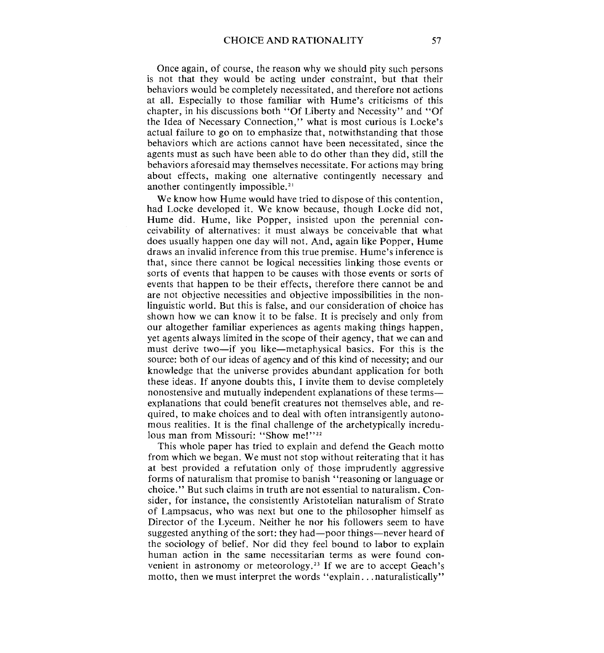Once again, of course, the reason why we should pity such persons is not that they would be acting under constraint, but that their behaviors would be completely necessitated, and therefore not actions at all. Especially to those familiar with Hume's criticisms of this chapter, in his discussions both "Of Liberty and Necessity" and "'Of the Idea of Necessary Connection," what is most curious is Locke's actual failure to go on to emphasize that, notwithstanding that those behaviors which are actions cannot have been necessitated, since the agents must as suck have been able to do other than they did, still the behaviors aforesaid may themselves necessitate. For actions may bring about effects, making one alternative contingently necessary and another contingently impossible. $2<sup>1</sup>$ 

We know how Hume would have tried to dispose of this contention. had Locke developed it. We know because, though Eocke did not, Hume did. Hume, like Popper, insisted upon the perennial conceivability of aiternatives: it must always be conceivable that what does usually happen one day will not. And, again like Popper, Hume draws an invalid inference from this true premise. Hume's inference is that, since there cannot be logical necessities linking those events or sorts of events that happen to be causes with those events or sorts of events that happen to be their effects, therefore there cannot be and are not objective necessities and objective impossibilities in the nonlinguistic world. But this is false, and our consideration of choice has shown how we can know it to be false. It is precisely and only from our altogether familiar experiences as agents making things happen, yet agents always limited in the scope of their agency, that we can and must derive two—if you like—metaphysical basics. For this is the source: both of our ideas of agency and of this kind of necessity; and our knowledge that the universe provides abundant application for both these ideas. If anyone doubts this, I invite them to devise completely nonostensive and mutually independent explanations of these termsexplanations that could benefit creatures not themselves able, and required, to make choices and to deal with often intransigently autonomous realities. It is the final challenge of the archetypically incredulous man from Missouri: "Show me!"<sup>22</sup>

This whole paper has tried to explain and defend the Geach motto from which we began. We must not stop without reiterating that it has at best provided a refutation only of those imprudently aggressive forms of naturalism that promise to banish "reasoning or language or choice." But such claims in truth are not essential to naturalism, Consider, for instance, the consistently Aristotelian naturalism of Strato of Lampsacus, who was next but one to the philosopher himself as Director of the Lyceum. Neither he nor his followers seem to have suggested anything of the sort: they had-poor things-never heard of the sociology of belief. Nor did they feel bound to labor to explain human action in the same necessitarian terms as were found convenient in astronomy or meteorology.<sup> $23$ </sup> If we are to accept Geach's motto, then we must interpret the words "explain...naturalistically"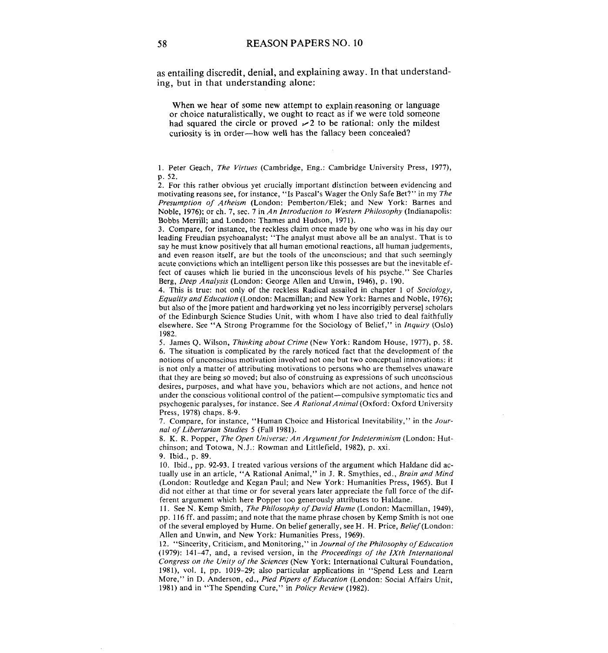as entailing discredit, denial, and explaining away. In that understanding, but in that understanding alone:

When we hear of some new attempt to explain reasoning or language or choice naturalistically, we ought to react as if we were told someone had squared the circle or proved  $\angle 2$  to be rational: only the mildest curiosity is in order-how well has the fallacy been concealed?

1. Peter Geach, *The Virtues* (Cambridge, Eng.: Cambridge University Press, 1977), p. 52.

2. For this rather obvious yet crucially important distinction between evidencing and motivating reasons see, for instance, "Is Pascal's Wager the Only Safe Bet?" in my *The Presumption of Atheism* (London: Pemberton/Elek; and New York: Barnes and Noble, 1976); or ch. 7, sec. 7 in *An Introduction to Western Philosophy* (Indianapolis: Bobbs Merrill; and London: Thames and Hudson, 1971).

**3.** Compare, for instance, the reckless claim once made by one who was in his day our leading Freudian psychoanalyst: "The analyst must above all be an analyst. That is to say he must know positively that all human emotional reactions, all human judgements, and even reason itself, are but the tools of the unconscious; and that such seemingly acute convictions which an intelligent person like this possesses are but the inevitable effect of causes which lie buried in the unconscious levels of his psyche." See Charles Berg, *Deep Analysis* (London: George Allen and Unwin, 1946). p. 190.

4. This is true: not only of the reckless Radical assailed in chapter 1 of *Sociology, Equality and Education* (London: Macmillan; and New York: Barnes and Noble, 1976); but also of the [more patient and hardworking yet no less incorrigibly perverse] scholars of the Edinburgh Science Studies Unit, with whom I have also tried to deal faithfully elsewhere. See "A Strong Programme for the Sociology of Belief," in *Inquiry* (Oslo) 1982.

5. James Q. Wilson, *Thinking abouf Crime* (New York: Random House, 1977), p. 58. 6. The situation is complicated by the rarely noticed fact that the development of the notions of unconscious motivation involved not one but two conceptual innovations: it is not only a matter of attributing motivations to persons who are themselves unaware that they are being so moved; but also of construing as expressions of such unconscious desires, purposes, and what have you, behaviors which are not actions, and hence not under the conscious volitional control of the patient-compulsive symptomatic tics and psychogenic paralyses, for instance. See *A Rational Animal* (Oxford: Oxford University Press, 1978) chaps. 8-9.

7. Compare, for instance, "Human Choice and Historical Inevitability," in the *Journal of Libertarian Studies* 5 (Fall 1981).

S. K. R. Popper, *The Open Universe: An Argument for Indeterminism* (London: Hutchinson; and Totowa, N.J.: Rowman and Littlefield, 1982), p. xxi.

9. Ibid., p. 89.

10. Ibid., pp. 92-93. I treated various versions of the argument which Haldane did actually use in an article, "A Rational Animal," in J. R. Smythies, ed., *Brain and Mind*  (London: Routledge and Kegan Paul; and New York: Humanities Press, 1965). But I did not either at that time or for several years later appreciate the full force of the different argument which here Popper too generously attributes to Haldane.

11. See N. Kemp Smith, *The Philosophy of David Hume* (London: Macmillan, 1949), pp. 116 ff. and passim; and note that the name phrase chosen by Kemp Smith is not one of the several employed by Hume. On belief generally, see H. H. Price, *Belief* (London: Allen and Unwin, and New York: Humanities Press, 1969).

12. "Sincerity, Criticism, and Monitoring," in *Journal of the Philosophy of Education* (1979): 141-47, and, a revised version, in the *Proceedings of the IXth International Congress on the Unity of the Sciences* (New York: International Cultural Foundation, 1981), vol. I, pp. 1019-29; also particular applications in "Spend Less and Learn More," in D. Anderson, ed., *Pied Pipers* of *Education* (London: Social Affairs Unit, 1981) and in "The Spending Cure," in *Policy Review* (1982).